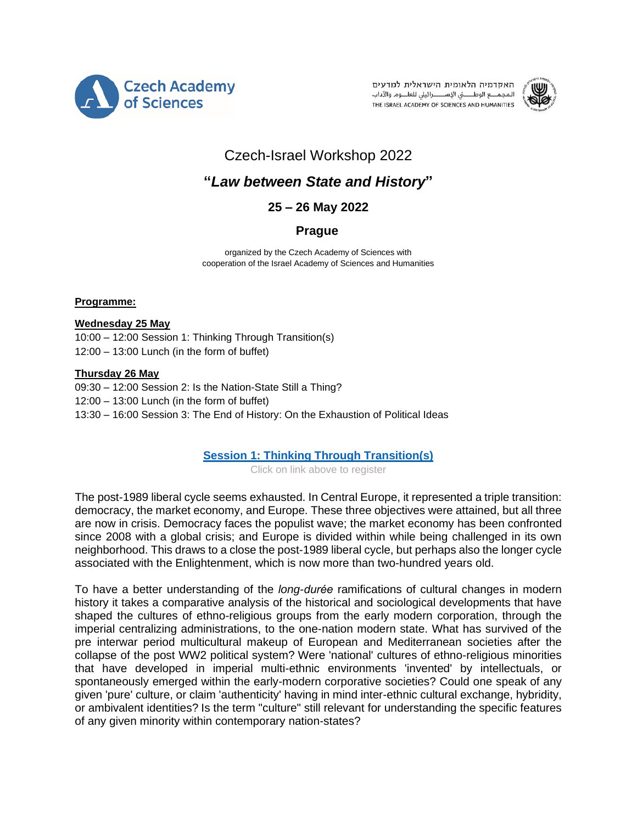

האקדמיה הלאומית הישראלית למדעים المجمـــع الوطـــــــــني الإســـــــــرائيلى للعلــــوم والآداب THE ISRAEL ACADEMY OF SCIENCES AND HUMANITIES



# Czech-Israel Workshop 2022

# **"***Law between State and History***"**

# **25 – 26 May 2022**

# **Prague**

organized by the Czech Academy of Sciences with cooperation of the Israel Academy of Sciences and Humanities

#### **Programme:**

#### **Wednesday 25 May**

10:00 – 12:00 Session 1: Thinking Through Transition(s) 12:00 – 13:00 Lunch (in the form of buffet)

#### **Thursday 26 May**

09:30 – 12:00 Session 2: Is the Nation-State Still a Thing? 12:00 – 13:00 Lunch (in the form of buffet) 13:30 – 16:00 Session 3: The End of History: On the Exhaustion of Political Ideas

## **[Session 1: Thinking Through Transition\(s\)](https://www.avcr.cz/en/registration?id=103&c=Tfg1nK46)**

Click on link above to register

The post-1989 liberal cycle seems exhausted. In Central Europe, it represented a triple transition: democracy, the market economy, and Europe. These three objectives were attained, but all three are now in crisis. Democracy faces the populist wave; the market economy has been confronted since 2008 with a global crisis; and Europe is divided within while being challenged in its own neighborhood. This draws to a close the post-1989 liberal cycle, but perhaps also the longer cycle associated with the Enlightenment, which is now more than two-hundred years old.

To have a better understanding of the *long-durée* ramifications of cultural changes in modern history it takes a comparative analysis of the historical and sociological developments that have shaped the cultures of ethno-religious groups from the early modern corporation, through the imperial centralizing administrations, to the one-nation modern state. What has survived of the pre interwar period multicultural makeup of European and Mediterranean societies after the collapse of the post WW2 political system? Were 'national' cultures of ethno-religious minorities that have developed in imperial multi-ethnic environments 'invented' by intellectuals, or spontaneously emerged within the early-modern corporative societies? Could one speak of any given 'pure' culture, or claim 'authenticity' having in mind inter-ethnic cultural exchange, hybridity, or ambivalent identities? Is the term "culture" still relevant for understanding the specific features of any given minority within contemporary nation-states?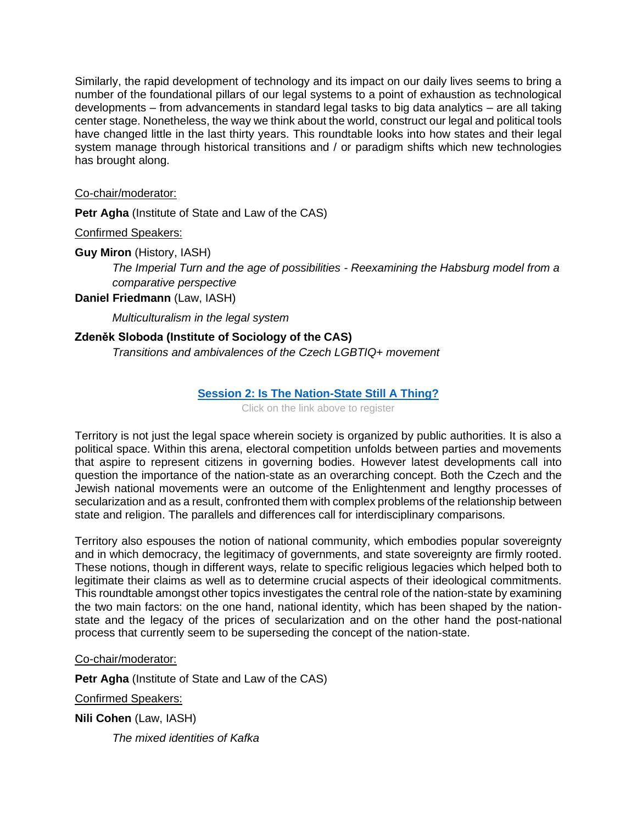Similarly, the rapid development of technology and its impact on our daily lives seems to bring a number of the foundational pillars of our legal systems to a point of exhaustion as technological developments – from advancements in standard legal tasks to big data analytics – are all taking center stage. Nonetheless, the way we think about the world, construct our legal and political tools have changed little in the last thirty years. This roundtable looks into how states and their legal system manage through historical transitions and / or paradigm shifts which new technologies has brought along.

### Co-chair/moderator:

**Petr Agha** (Institute of State and Law of the CAS)

Confirmed Speakers:

**Guy Miron** (History, IASH)

*The Imperial Turn and the age of possibilities - Reexamining the Habsburg model from a comparative perspective*

**Daniel Friedmann** (Law, IASH)

*Multiculturalism in the legal system*

# **Zdeněk Sloboda (Institute of Sociology of the CAS)**

*Transitions and ambivalences of the Czech LGBTIQ+ movement* 

## **[Session 2: Is The Nation-State Still A Thing?](https://www.avcr.cz/en/registration?id=104&c=xjVw42Wg)**

Click on the link above to register

Territory is not just the legal space wherein society is organized by public authorities. It is also a political space. Within this arena, electoral competition unfolds between parties and movements that aspire to represent citizens in governing bodies. However latest developments call into question the importance of the nation-state as an overarching concept. Both the Czech and the Jewish national movements were an outcome of the Enlightenment and lengthy processes of secularization and as a result, confronted them with complex problems of the relationship between state and religion. The parallels and differences call for interdisciplinary comparisons.

Territory also espouses the notion of national community, which embodies popular sovereignty and in which democracy, the legitimacy of governments, and state sovereignty are firmly rooted. These notions, though in different ways, relate to specific religious legacies which helped both to legitimate their claims as well as to determine crucial aspects of their ideological commitments. This roundtable amongst other topics investigates the central role of the nation-state by examining the two main factors: on the one hand, national identity, which has been shaped by the nationstate and the legacy of the prices of secularization and on the other hand the post-national process that currently seem to be superseding the concept of the nation-state.

#### Co-chair/moderator:

**Petr Agha** (Institute of State and Law of the CAS)

Confirmed Speakers:

**Nili Cohen** (Law, IASH)

*The mixed identities of Kafka*